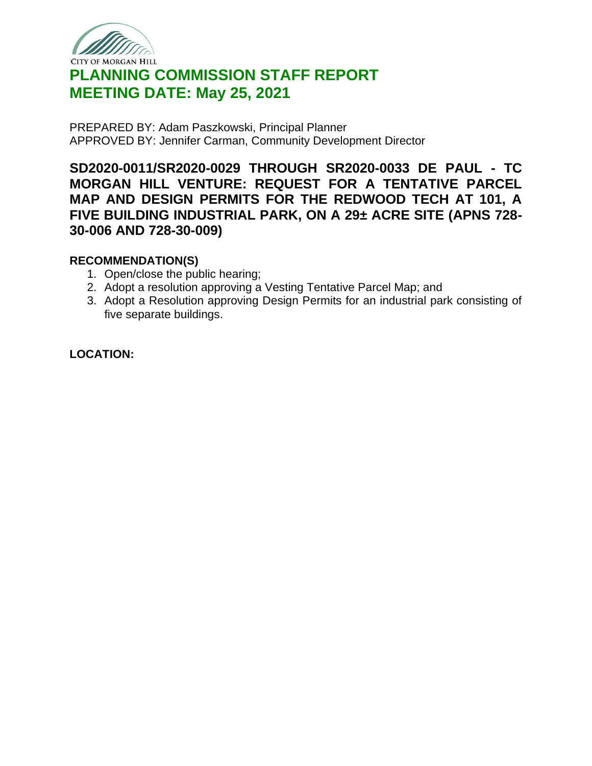

# **PLANNING COMMISSION STAFF REPORT MEETING DATE: May 25, 2021**

PREPARED BY: Adam Paszkowski, Principal Planner APPROVED BY: Jennifer Carman, Community Development Director

**SD2020-0011/SR2020-0029 THROUGH SR2020-0033 DE PAUL - TC MORGAN HILL VENTURE: REQUEST FOR A TENTATIVE PARCEL MAP AND DESIGN PERMITS FOR THE REDWOOD TECH AT 101, A FIVE BUILDING INDUSTRIAL PARK, ON A 29± ACRE SITE (APNS 728- 30-006 AND 728-30-009)**

#### **RECOMMENDATION(S)**

- 1. Open/close the public hearing;
- 2. Adopt a resolution approving a Vesting Tentative Parcel Map; and
- 3. Adopt a Resolution approving Design Permits for an industrial park consisting of five separate buildings.

## **LOCATION:**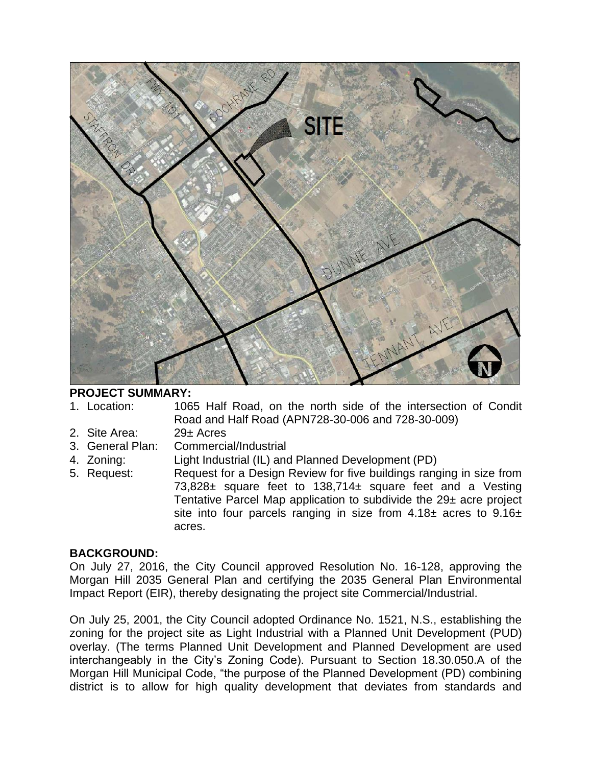

#### **PROJECT SUMMARY:**

1. Location: 1065 Half Road, on the north side of the intersection of Condit Road and Half Road (APN728-30-006 and 728-30-009)

- 2. Site Area: 29± Acres
- 3. General Plan: Commercial/Industrial
- 4. Zoning: Light Industrial (IL) and Planned Development (PD)
- 5. Request: Request for a Design Review for five buildings ranging in size from 73,828± square feet to 138,714± square feet and a Vesting Tentative Parcel Map application to subdivide the 29± acre project site into four parcels ranging in size from  $4.18\pm$  acres to  $9.16\pm$ acres.

#### **BACKGROUND:**

On July 27, 2016, the City Council approved Resolution No. 16-128, approving the Morgan Hill 2035 General Plan and certifying the 2035 General Plan Environmental Impact Report (EIR), thereby designating the project site Commercial/Industrial.

On July 25, 2001, the City Council adopted Ordinance No. 1521, N.S., establishing the zoning for the project site as Light Industrial with a Planned Unit Development (PUD) overlay. (The terms Planned Unit Development and Planned Development are used interchangeably in the City's Zoning Code). Pursuant to Section 18.30.050.A of the Morgan Hill Municipal Code, "the purpose of the Planned Development (PD) combining district is to allow for high quality development that deviates from standards and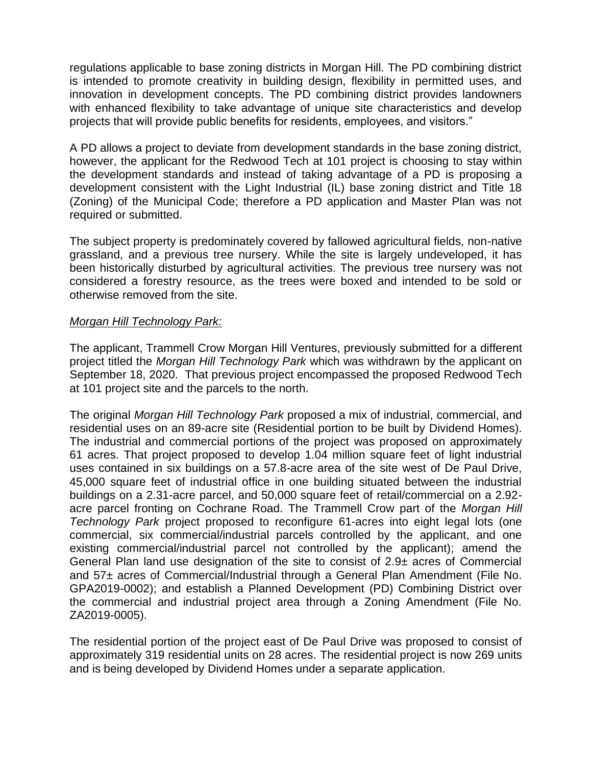regulations applicable to base zoning districts in Morgan Hill. The PD combining district is intended to promote creativity in building design, flexibility in permitted uses, and innovation in development concepts. The PD combining district provides landowners with enhanced flexibility to take advantage of unique site characteristics and develop projects that will provide public benefits for residents, employees, and visitors."

A PD allows a project to deviate from development standards in the base zoning district, however, the applicant for the Redwood Tech at 101 project is choosing to stay within the development standards and instead of taking advantage of a PD is proposing a development consistent with the Light Industrial (IL) base zoning district and Title 18 (Zoning) of the Municipal Code; therefore a PD application and Master Plan was not required or submitted.

The subject property is predominately covered by fallowed agricultural fields, non-native grassland, and a previous tree nursery. While the site is largely undeveloped, it has been historically disturbed by agricultural activities. The previous tree nursery was not considered a forestry resource, as the trees were boxed and intended to be sold or otherwise removed from the site.

#### *Morgan Hill Technology Park:*

The applicant, Trammell Crow Morgan Hill Ventures, previously submitted for a different project titled the *Morgan Hill Technology Park* which was withdrawn by the applicant on September 18, 2020. That previous project encompassed the proposed Redwood Tech at 101 project site and the parcels to the north.

The original *Morgan Hill Technology Park* proposed a mix of industrial, commercial, and residential uses on an 89-acre site (Residential portion to be built by Dividend Homes). The industrial and commercial portions of the project was proposed on approximately 61 acres. That project proposed to develop 1.04 million square feet of light industrial uses contained in six buildings on a 57.8-acre area of the site west of De Paul Drive, 45,000 square feet of industrial office in one building situated between the industrial buildings on a 2.31-acre parcel, and 50,000 square feet of retail/commercial on a 2.92 acre parcel fronting on Cochrane Road. The Trammell Crow part of the *Morgan Hill Technology Park* project proposed to reconfigure 61-acres into eight legal lots (one commercial, six commercial/industrial parcels controlled by the applicant, and one existing commercial/industrial parcel not controlled by the applicant); amend the General Plan land use designation of the site to consist of 2.9± acres of Commercial and 57± acres of Commercial/Industrial through a General Plan Amendment (File No. GPA2019-0002); and establish a Planned Development (PD) Combining District over the commercial and industrial project area through a Zoning Amendment (File No. ZA2019-0005).

The residential portion of the project east of De Paul Drive was proposed to consist of approximately 319 residential units on 28 acres. The residential project is now 269 units and is being developed by Dividend Homes under a separate application.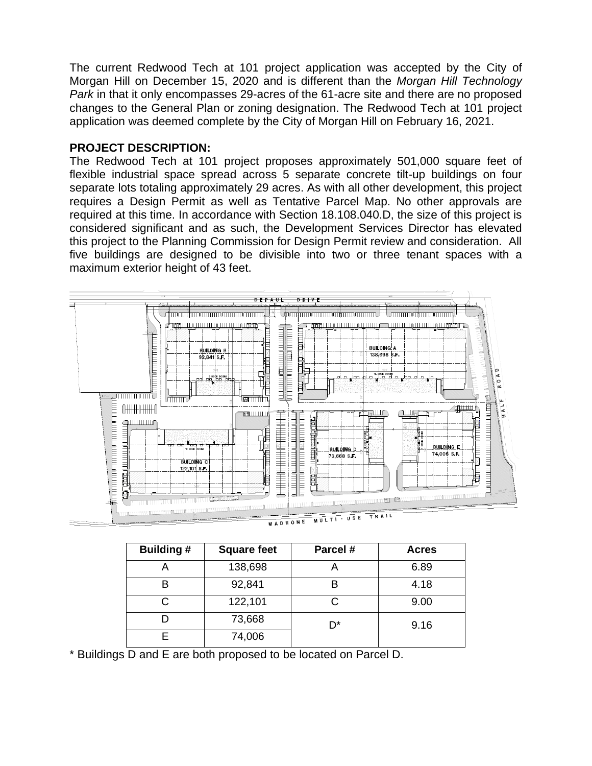The current Redwood Tech at 101 project application was accepted by the City of Morgan Hill on December 15, 2020 and is different than the *Morgan Hill Technology Park* in that it only encompasses 29-acres of the 61-acre site and there are no proposed changes to the General Plan or zoning designation. The Redwood Tech at 101 project application was deemed complete by the City of Morgan Hill on February 16, 2021.

#### **PROJECT DESCRIPTION:**

The Redwood Tech at 101 project proposes approximately 501,000 square feet of flexible industrial space spread across 5 separate concrete tilt-up buildings on four separate lots totaling approximately 29 acres. As with all other development, this project requires a Design Permit as well as Tentative Parcel Map. No other approvals are required at this time. In accordance with Section 18.108.040.D, the size of this project is considered significant and as such, the Development Services Director has elevated this project to the Planning Commission for Design Permit review and consideration. All five buildings are designed to be divisible into two or three tenant spaces with a maximum exterior height of 43 feet.



|         | MULTI - USE |  |
|---------|-------------|--|
| MADRONE |             |  |

| <b>Building#</b> | Parcel #<br><b>Square feet</b> |    | <b>Acres</b> |
|------------------|--------------------------------|----|--------------|
|                  | 138,698                        | m  | 6.89         |
| в                | 92,841                         |    | 4.18         |
|                  | 122,101                        | C  | 9.00         |
|                  | 73,668                         | D* | 9.16         |
|                  | 74,006                         |    |              |

\* Buildings D and E are both proposed to be located on Parcel D.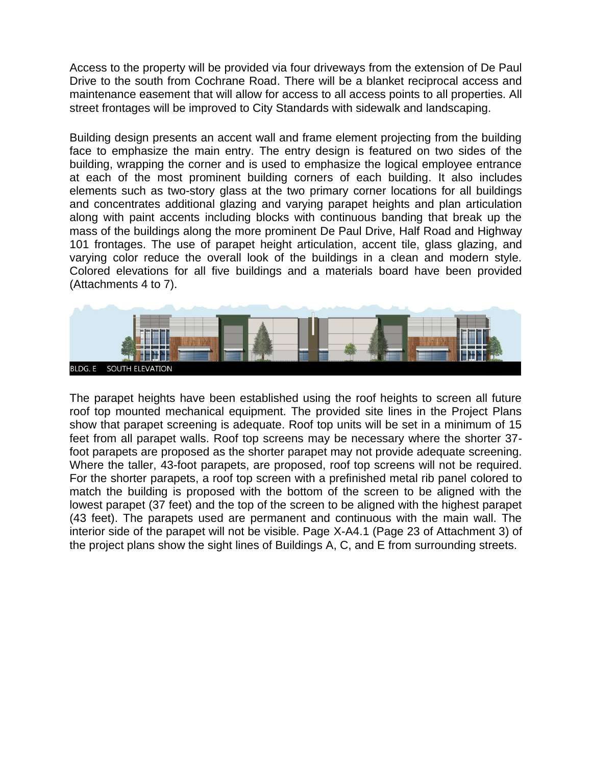Access to the property will be provided via four driveways from the extension of De Paul Drive to the south from Cochrane Road. There will be a blanket reciprocal access and maintenance easement that will allow for access to all access points to all properties. All street frontages will be improved to City Standards with sidewalk and landscaping.

Building design presents an accent wall and frame element projecting from the building face to emphasize the main entry. The entry design is featured on two sides of the building, wrapping the corner and is used to emphasize the logical employee entrance at each of the most prominent building corners of each building. It also includes elements such as two-story glass at the two primary corner locations for all buildings and concentrates additional glazing and varying parapet heights and plan articulation along with paint accents including blocks with continuous banding that break up the mass of the buildings along the more prominent De Paul Drive, Half Road and Highway 101 frontages. The use of parapet height articulation, accent tile, glass glazing, and varying color reduce the overall look of the buildings in a clean and modern style. Colored elevations for all five buildings and a materials board have been provided (Attachments 4 to 7).



The parapet heights have been established using the roof heights to screen all future roof top mounted mechanical equipment. The provided site lines in the Project Plans show that parapet screening is adequate. Roof top units will be set in a minimum of 15 feet from all parapet walls. Roof top screens may be necessary where the shorter 37 foot parapets are proposed as the shorter parapet may not provide adequate screening. Where the taller, 43-foot parapets, are proposed, roof top screens will not be required. For the shorter parapets, a roof top screen with a prefinished metal rib panel colored to match the building is proposed with the bottom of the screen to be aligned with the lowest parapet (37 feet) and the top of the screen to be aligned with the highest parapet (43 feet). The parapets used are permanent and continuous with the main wall. The interior side of the parapet will not be visible. Page X-A4.1 (Page 23 of Attachment 3) of the project plans show the sight lines of Buildings A, C, and E from surrounding streets.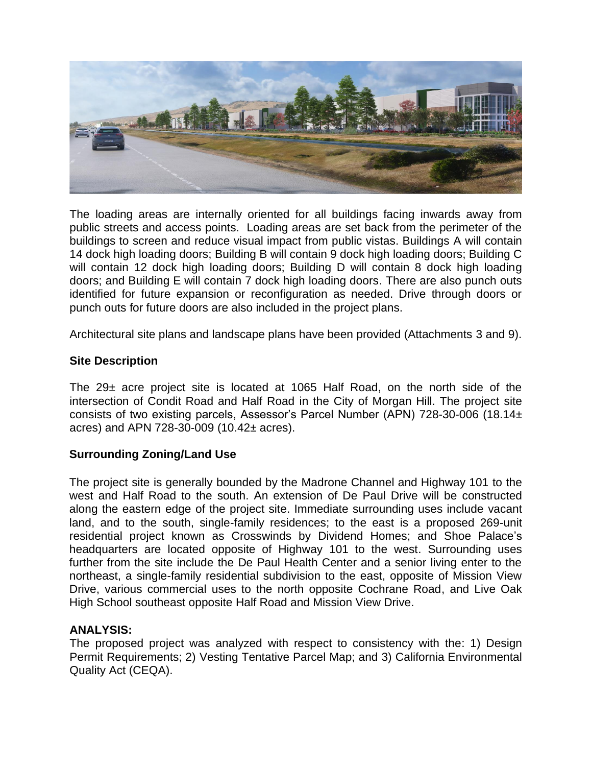

The loading areas are internally oriented for all buildings facing inwards away from public streets and access points. Loading areas are set back from the perimeter of the buildings to screen and reduce visual impact from public vistas. Buildings A will contain 14 dock high loading doors; Building B will contain 9 dock high loading doors; Building C will contain 12 dock high loading doors; Building D will contain 8 dock high loading doors; and Building E will contain 7 dock high loading doors. There are also punch outs identified for future expansion or reconfiguration as needed. Drive through doors or punch outs for future doors are also included in the project plans.

Architectural site plans and landscape plans have been provided (Attachments 3 and 9).

#### **Site Description**

The  $29\pm$  acre project site is located at 1065 Half Road, on the north side of the intersection of Condit Road and Half Road in the City of Morgan Hill. The project site consists of two existing parcels, Assessor's Parcel Number (APN) 728-30-006 (18.14± acres) and APN 728-30-009 (10.42± acres).

#### **Surrounding Zoning/Land Use**

The project site is generally bounded by the Madrone Channel and Highway 101 to the west and Half Road to the south. An extension of De Paul Drive will be constructed along the eastern edge of the project site. Immediate surrounding uses include vacant land, and to the south, single-family residences; to the east is a proposed 269-unit residential project known as Crosswinds by Dividend Homes; and Shoe Palace's headquarters are located opposite of Highway 101 to the west. Surrounding uses further from the site include the De Paul Health Center and a senior living enter to the northeast, a single-family residential subdivision to the east, opposite of Mission View Drive, various commercial uses to the north opposite Cochrane Road, and Live Oak High School southeast opposite Half Road and Mission View Drive.

#### **ANALYSIS:**

The proposed project was analyzed with respect to consistency with the: 1) Design Permit Requirements; 2) Vesting Tentative Parcel Map; and 3) California Environmental Quality Act (CEQA).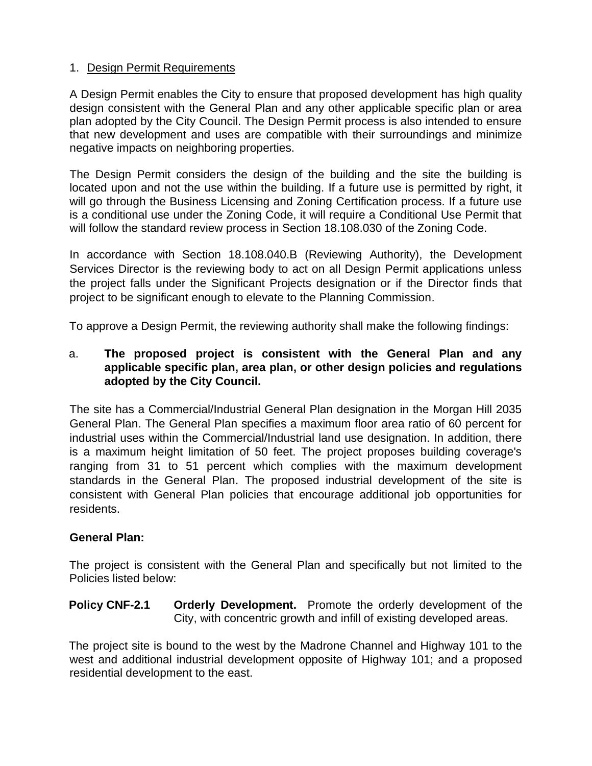## 1. Design Permit Requirements

A Design Permit enables the City to ensure that proposed development has high quality design consistent with the General Plan and any other applicable specific plan or area plan adopted by the City Council. The Design Permit process is also intended to ensure that new development and uses are compatible with their surroundings and minimize negative impacts on neighboring properties.

The Design Permit considers the design of the building and the site the building is located upon and not the use within the building. If a future use is permitted by right, it will go through the Business Licensing and Zoning Certification process. If a future use is a conditional use under the Zoning Code, it will require a Conditional Use Permit that will follow the standard review process in Section 18.108.030 of the Zoning Code.

In accordance with Section 18.108.040.B (Reviewing Authority), the Development Services Director is the reviewing body to act on all Design Permit applications unless the project falls under the Significant Projects designation or if the Director finds that project to be significant enough to elevate to the Planning Commission.

To approve a Design Permit, the reviewing authority shall make the following findings:

#### a. **The proposed project is consistent with the General Plan and any applicable specific plan, area plan, or other design policies and regulations adopted by the City Council.**

The site has a Commercial/Industrial General Plan designation in the Morgan Hill 2035 General Plan. The General Plan specifies a maximum floor area ratio of 60 percent for industrial uses within the Commercial/Industrial land use designation. In addition, there is a maximum height limitation of 50 feet. The project proposes building coverage's ranging from 31 to 51 percent which complies with the maximum development standards in the General Plan. The proposed industrial development of the site is consistent with General Plan policies that encourage additional job opportunities for residents.

#### **General Plan:**

The project is consistent with the General Plan and specifically but not limited to the Policies listed below:

#### **Policy CNF-2.1 Orderly Development.** Promote the orderly development of the City, with concentric growth and infill of existing developed areas.

The project site is bound to the west by the Madrone Channel and Highway 101 to the west and additional industrial development opposite of Highway 101; and a proposed residential development to the east.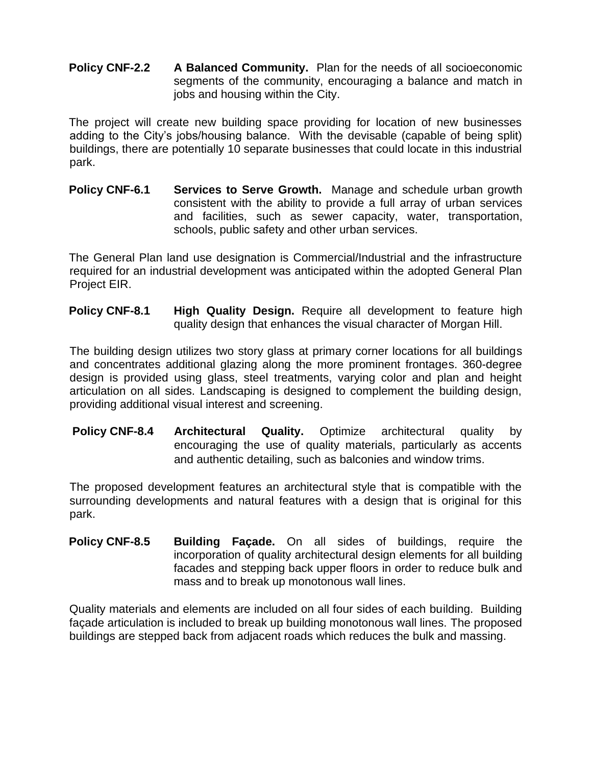**Policy CNF-2.2 A Balanced Community.** Plan for the needs of all socioeconomic segments of the community, encouraging a balance and match in jobs and housing within the City.

The project will create new building space providing for location of new businesses adding to the City's jobs/housing balance. With the devisable (capable of being split) buildings, there are potentially 10 separate businesses that could locate in this industrial park.

**Policy CNF-6.1** Services to Serve Growth. Manage and schedule urban growth consistent with the ability to provide a full array of urban services and facilities, such as sewer capacity, water, transportation, schools, public safety and other urban services.

The General Plan land use designation is Commercial/Industrial and the infrastructure required for an industrial development was anticipated within the adopted General Plan Project EIR.

**Policy CNF-8.1 High Quality Design.** Require all development to feature high quality design that enhances the visual character of Morgan Hill.

The building design utilizes two story glass at primary corner locations for all buildings and concentrates additional glazing along the more prominent frontages. 360-degree design is provided using glass, steel treatments, varying color and plan and height articulation on all sides. Landscaping is designed to complement the building design, providing additional visual interest and screening.

**Policy CNF-8.4 Architectural Quality.** Optimize architectural quality by encouraging the use of quality materials, particularly as accents and authentic detailing, such as balconies and window trims.

The proposed development features an architectural style that is compatible with the surrounding developments and natural features with a design that is original for this park.

**Policy CNF-8.5 Building Façade.** On all sides of buildings, require the incorporation of quality architectural design elements for all building facades and stepping back upper floors in order to reduce bulk and mass and to break up monotonous wall lines.

Quality materials and elements are included on all four sides of each building. Building façade articulation is included to break up building monotonous wall lines. The proposed buildings are stepped back from adjacent roads which reduces the bulk and massing.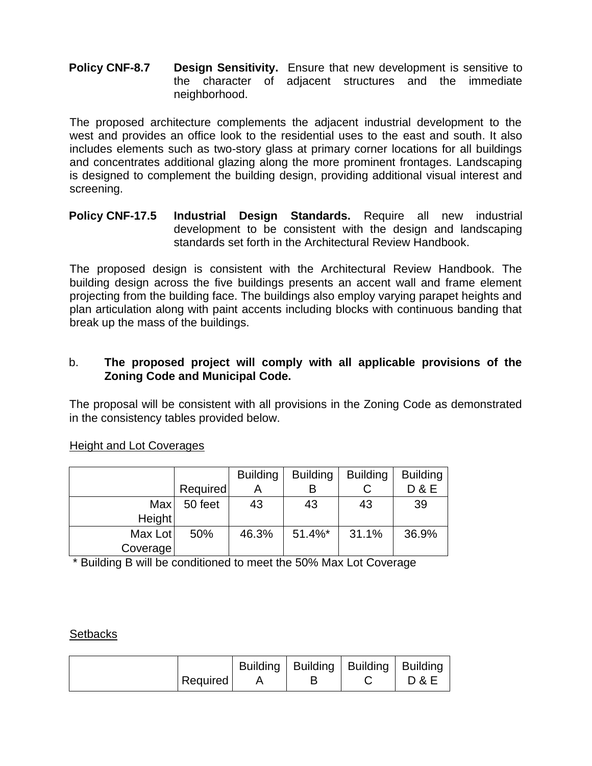#### **Policy CNF-8.7 Design Sensitivity.** Ensure that new development is sensitive to the character of adjacent structures and the immediate neighborhood.

The proposed architecture complements the adjacent industrial development to the west and provides an office look to the residential uses to the east and south. It also includes elements such as two-story glass at primary corner locations for all buildings and concentrates additional glazing along the more prominent frontages. Landscaping is designed to complement the building design, providing additional visual interest and screening.

#### **Policy CNF-17.5 Industrial Design Standards.** Require all new industrial development to be consistent with the design and landscaping standards set forth in the Architectural Review Handbook.

The proposed design is consistent with the Architectural Review Handbook. The building design across the five buildings presents an accent wall and frame element projecting from the building face. The buildings also employ varying parapet heights and plan articulation along with paint accents including blocks with continuous banding that break up the mass of the buildings.

## b. **The proposed project will comply with all applicable provisions of the Zoning Code and Municipal Code.**

The proposal will be consistent with all provisions in the Zoning Code as demonstrated in the consistency tables provided below.

#### Height and Lot Coverages

|          |          | <b>Building</b> | <b>Building</b> | <b>Building</b> | <b>Building</b> |
|----------|----------|-----------------|-----------------|-----------------|-----------------|
|          | Required |                 |                 |                 | <b>D&amp;E</b>  |
| Max      | 50 feet  | 43              | 43              | 43              | 39              |
| Height   |          |                 |                 |                 |                 |
| Max Lot  | 50%      | 46.3%           | $51.4\%$ *      | 31.1%           | 36.9%           |
| Coverage |          |                 |                 |                 |                 |

\* Building B will be conditioned to meet the 50% Max Lot Coverage

**Setbacks** 

| Required |  | Building   Building   Building   Building |  | <b>D &amp; E</b> |
|----------|--|-------------------------------------------|--|------------------|
|----------|--|-------------------------------------------|--|------------------|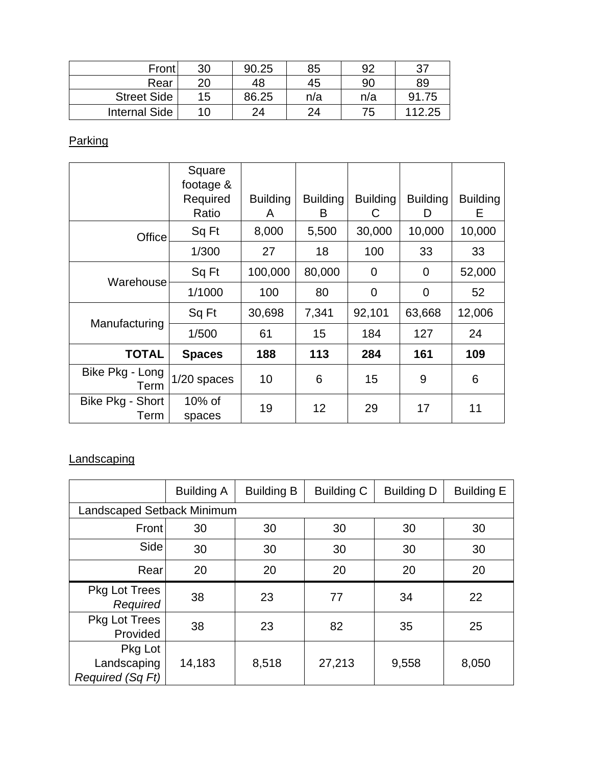| Front                | 30 | 90.25 | 85  | 92  | -27    |
|----------------------|----|-------|-----|-----|--------|
| Rear                 | 20 | 48    | 45  | 90  | 89     |
| <b>Street Side</b>   | 15 | 86.25 | n/a | n/a | 91.75  |
| <b>Internal Side</b> | 10 | 24    | 24  | 75  | 112.25 |

**Parking** 

|                          | Square<br>footage & |                      |                      |                      |                      |                      |
|--------------------------|---------------------|----------------------|----------------------|----------------------|----------------------|----------------------|
|                          | Required<br>Ratio   | <b>Building</b><br>A | <b>Building</b><br>B | <b>Building</b><br>C | <b>Building</b><br>D | <b>Building</b><br>Е |
| Office                   | Sq Ft               | 8,000                | 5,500                | 30,000               | 10,000               | 10,000               |
|                          | 1/300               | 27                   | 18                   | 100                  | 33                   | 33                   |
|                          | Sq Ft               | 100,000              | 80,000               | $\overline{0}$       | $\overline{0}$       | 52,000               |
| Warehouse                | 1/1000              | 100                  | 80                   | $\mathbf 0$          | $\overline{0}$       | 52                   |
|                          | Sq Ft               | 30,698               | 7,341                | 92,101               | 63,668               | 12,006               |
| Manufacturing            | 1/500               | 61                   | 15                   | 184                  | 127                  | 24                   |
| <b>TOTAL</b>             | <b>Spaces</b>       | 188                  | 113                  | 284                  | 161                  | 109                  |
| Bike Pkg - Long<br>Term  | $1/20$ spaces       | 10                   | 6                    | 15                   | 9                    | 6                    |
| Bike Pkg - Short<br>Term | $10\%$ of<br>spaces | 19                   | 12                   | 29                   | 17                   | 11                   |

# **Landscaping**

|                                            | <b>Building A</b> | <b>Building B</b> | <b>Building C</b> | <b>Building D</b> | <b>Building E</b> |  |
|--------------------------------------------|-------------------|-------------------|-------------------|-------------------|-------------------|--|
| Landscaped Setback Minimum                 |                   |                   |                   |                   |                   |  |
| Front                                      | 30                | 30                | 30                | 30                | 30                |  |
| Side                                       | 30                | 30                | 30                | 30                | 30                |  |
| Rear                                       | 20                | 20                | 20                | 20                | 20                |  |
| <b>Pkg Lot Trees</b><br>Required           | 38                | 23                | 77                | 34                | 22                |  |
| <b>Pkg Lot Trees</b><br>Provided           | 38                | 23                | 82                | 35                | 25                |  |
| Pkg Lot<br>Landscaping<br>Required (Sq Ft) | 14,183            | 8,518             | 27,213            | 9,558             | 8,050             |  |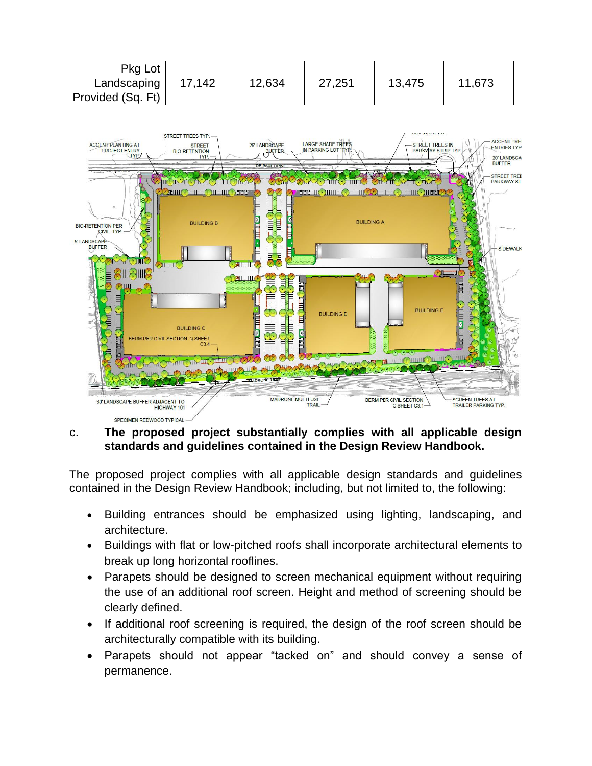| Pkg Lot           |        |        |        |        |        |
|-------------------|--------|--------|--------|--------|--------|
| Landscaping       | 17.142 | 12,634 | 27,251 | 13,475 | 11,673 |
| Provided (Sq. Ft) |        |        |        |        |        |



#### c. **The proposed project substantially complies with all applicable design standards and guidelines contained in the Design Review Handbook.**

The proposed project complies with all applicable design standards and guidelines contained in the Design Review Handbook; including, but not limited to, the following:

- Building entrances should be emphasized using lighting, landscaping, and architecture.
- Buildings with flat or low-pitched roofs shall incorporate architectural elements to break up long horizontal rooflines.
- Parapets should be designed to screen mechanical equipment without requiring the use of an additional roof screen. Height and method of screening should be clearly defined.
- If additional roof screening is required, the design of the roof screen should be architecturally compatible with its building.
- Parapets should not appear "tacked on" and should convey a sense of permanence.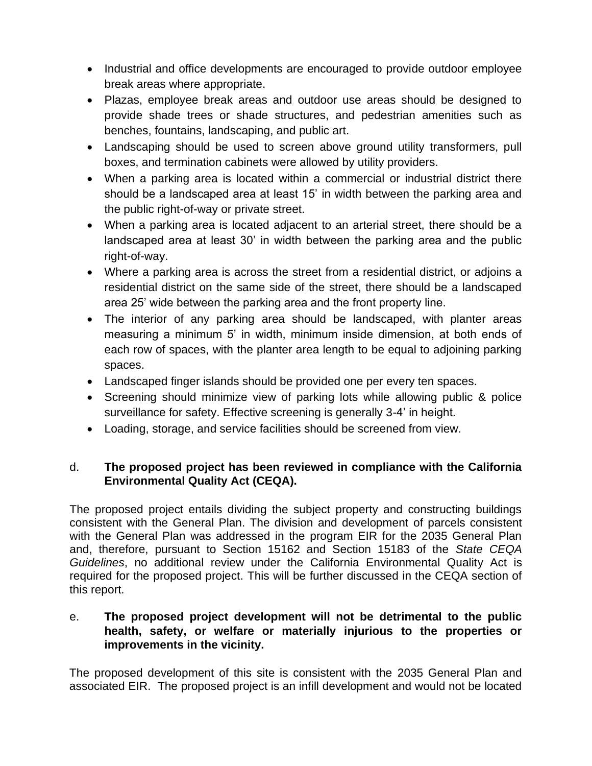- Industrial and office developments are encouraged to provide outdoor employee break areas where appropriate.
- Plazas, employee break areas and outdoor use areas should be designed to provide shade trees or shade structures, and pedestrian amenities such as benches, fountains, landscaping, and public art.
- Landscaping should be used to screen above ground utility transformers, pull boxes, and termination cabinets were allowed by utility providers.
- When a parking area is located within a commercial or industrial district there should be a landscaped area at least 15' in width between the parking area and the public right-of-way or private street.
- When a parking area is located adjacent to an arterial street, there should be a landscaped area at least 30' in width between the parking area and the public right-of-way.
- Where a parking area is across the street from a residential district, or adjoins a residential district on the same side of the street, there should be a landscaped area 25' wide between the parking area and the front property line.
- The interior of any parking area should be landscaped, with planter areas measuring a minimum 5' in width, minimum inside dimension, at both ends of each row of spaces, with the planter area length to be equal to adjoining parking spaces.
- Landscaped finger islands should be provided one per every ten spaces.
- Screening should minimize view of parking lots while allowing public & police surveillance for safety. Effective screening is generally 3-4' in height.
- Loading, storage, and service facilities should be screened from view.

## d. **The proposed project has been reviewed in compliance with the California Environmental Quality Act (CEQA).**

The proposed project entails dividing the subject property and constructing buildings consistent with the General Plan. The division and development of parcels consistent with the General Plan was addressed in the program EIR for the 2035 General Plan and, therefore, pursuant to Section 15162 and Section 15183 of the *State CEQA Guidelines*, no additional review under the California Environmental Quality Act is required for the proposed project. This will be further discussed in the CEQA section of this report.

## e. **The proposed project development will not be detrimental to the public health, safety, or welfare or materially injurious to the properties or improvements in the vicinity.**

The proposed development of this site is consistent with the 2035 General Plan and associated EIR. The proposed project is an infill development and would not be located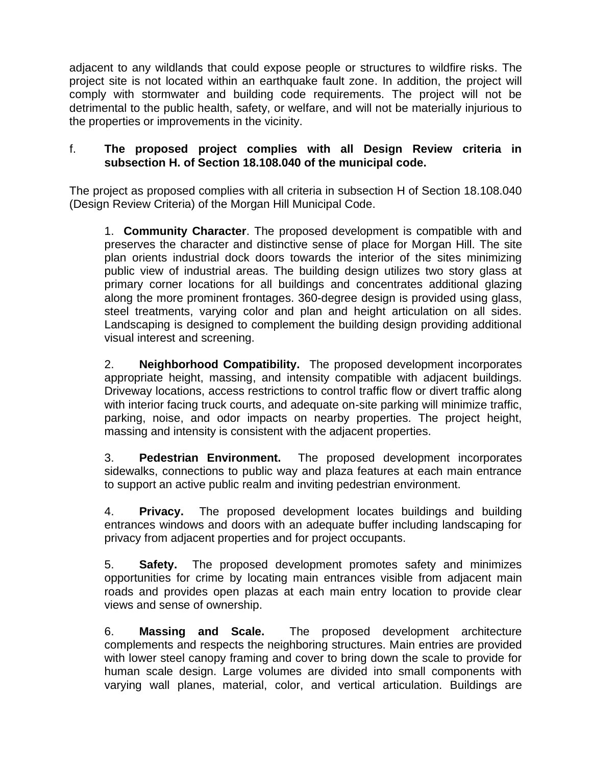adjacent to any wildlands that could expose people or structures to wildfire risks. The project site is not located within an earthquake fault zone. In addition, the project will comply with stormwater and building code requirements. The project will not be detrimental to the public health, safety, or welfare, and will not be materially injurious to the properties or improvements in the vicinity.

#### f. **The proposed project complies with all Design Review criteria in subsection H. of Section 18.108.040 of the municipal code.**

The project as proposed complies with all criteria in subsection H of Section 18.108.040 (Design Review Criteria) of the Morgan Hill Municipal Code.

1. **Community Character**. The proposed development is compatible with and preserves the character and distinctive sense of place for Morgan Hill. The site plan orients industrial dock doors towards the interior of the sites minimizing public view of industrial areas. The building design utilizes two story glass at primary corner locations for all buildings and concentrates additional glazing along the more prominent frontages. 360-degree design is provided using glass, steel treatments, varying color and plan and height articulation on all sides. Landscaping is designed to complement the building design providing additional visual interest and screening.

2. **Neighborhood Compatibility.** The proposed development incorporates appropriate height, massing, and intensity compatible with adjacent buildings. Driveway locations, access restrictions to control traffic flow or divert traffic along with interior facing truck courts, and adequate on-site parking will minimize traffic, parking, noise, and odor impacts on nearby properties. The project height, massing and intensity is consistent with the adjacent properties.

3. **Pedestrian Environment.** The proposed development incorporates sidewalks, connections to public way and plaza features at each main entrance to support an active public realm and inviting pedestrian environment.

4. **Privacy.** The proposed development locates buildings and building entrances windows and doors with an adequate buffer including landscaping for privacy from adjacent properties and for project occupants.

5. **Safety.** The proposed development promotes safety and minimizes opportunities for crime by locating main entrances visible from adjacent main roads and provides open plazas at each main entry location to provide clear views and sense of ownership.

6. **Massing and Scale.** The proposed development architecture complements and respects the neighboring structures. Main entries are provided with lower steel canopy framing and cover to bring down the scale to provide for human scale design. Large volumes are divided into small components with varying wall planes, material, color, and vertical articulation. Buildings are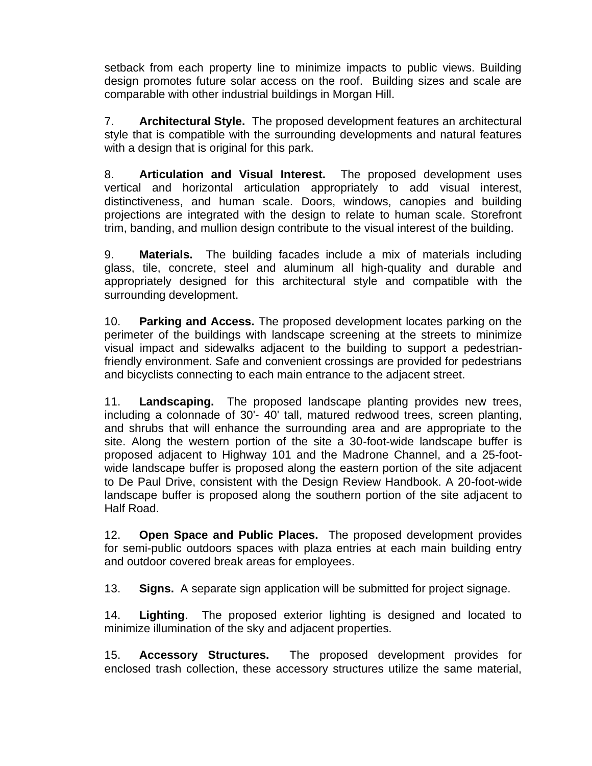setback from each property line to minimize impacts to public views. Building design promotes future solar access on the roof. Building sizes and scale are comparable with other industrial buildings in Morgan Hill.

7. **Architectural Style.** The proposed development features an architectural style that is compatible with the surrounding developments and natural features with a design that is original for this park.

8. **Articulation and Visual Interest.** The proposed development uses vertical and horizontal articulation appropriately to add visual interest, distinctiveness, and human scale. Doors, windows, canopies and building projections are integrated with the design to relate to human scale. Storefront trim, banding, and mullion design contribute to the visual interest of the building.

9. **Materials.** The building facades include a mix of materials including glass, tile, concrete, steel and aluminum all high-quality and durable and appropriately designed for this architectural style and compatible with the surrounding development.

10. **Parking and Access.** The proposed development locates parking on the perimeter of the buildings with landscape screening at the streets to minimize visual impact and sidewalks adjacent to the building to support a pedestrianfriendly environment. Safe and convenient crossings are provided for pedestrians and bicyclists connecting to each main entrance to the adjacent street.

11. **Landscaping.** The proposed landscape planting provides new trees, including a colonnade of 30'- 40' tall, matured redwood trees, screen planting, and shrubs that will enhance the surrounding area and are appropriate to the site. Along the western portion of the site a 30-foot-wide landscape buffer is proposed adjacent to Highway 101 and the Madrone Channel, and a 25-footwide landscape buffer is proposed along the eastern portion of the site adjacent to De Paul Drive, consistent with the Design Review Handbook. A 20-foot-wide landscape buffer is proposed along the southern portion of the site adjacent to Half Road.

12. **Open Space and Public Places.** The proposed development provides for semi-public outdoors spaces with plaza entries at each main building entry and outdoor covered break areas for employees.

13. **Signs.** A separate sign application will be submitted for project signage.

14. **Lighting**. The proposed exterior lighting is designed and located to minimize illumination of the sky and adjacent properties.

15. **Accessory Structures.** The proposed development provides for enclosed trash collection, these accessory structures utilize the same material,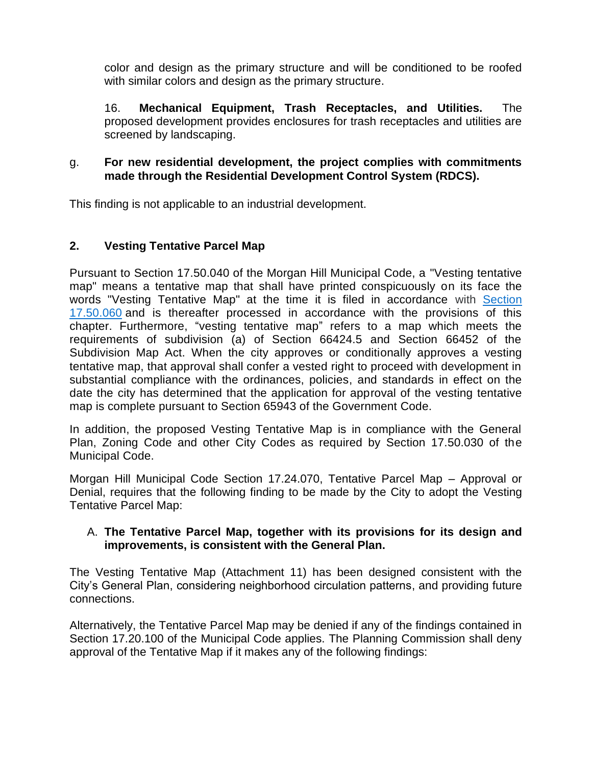color and design as the primary structure and will be conditioned to be roofed with similar colors and design as the primary structure.

16. **Mechanical Equipment, Trash Receptacles, and Utilities.** The proposed development provides enclosures for trash receptacles and utilities are screened by landscaping.

#### g. **For new residential development, the project complies with commitments made through the Residential Development Control System (RDCS).**

This finding is not applicable to an industrial development.

## **2. Vesting Tentative Parcel Map**

Pursuant to Section 17.50.040 of the Morgan Hill Municipal Code, a "Vesting tentative map" means a tentative map that shall have printed conspicuously on its face the words "Vesting Tentative Map" at the time it is filed in accordance with [Section](https://library.municode.com/ca/morgan_hill/codes/code_of_ordinances?nodeId=TIT17SU_CH17.50VETEMA_17.50.060FIPR)  [17.50.060](https://library.municode.com/ca/morgan_hill/codes/code_of_ordinances?nodeId=TIT17SU_CH17.50VETEMA_17.50.060FIPR) and is thereafter processed in accordance with the provisions of this chapter. Furthermore, "vesting tentative map" refers to a map which meets the requirements of subdivision (a) of Section 66424.5 and Section 66452 of the Subdivision Map Act. When the city approves or conditionally approves a vesting tentative map, that approval shall confer a vested right to proceed with development in substantial compliance with the ordinances, policies, and standards in effect on the date the city has determined that the application for approval of the vesting tentative map is complete pursuant to Section 65943 of the Government Code.

In addition, the proposed Vesting Tentative Map is in compliance with the General Plan, Zoning Code and other City Codes as required by Section 17.50.030 of the Municipal Code.

Morgan Hill Municipal Code Section 17.24.070, Tentative Parcel Map – Approval or Denial, requires that the following finding to be made by the City to adopt the Vesting Tentative Parcel Map:

#### A. **The Tentative Parcel Map, together with its provisions for its design and improvements, is consistent with the General Plan.**

The Vesting Tentative Map (Attachment 11) has been designed consistent with the City's General Plan, considering neighborhood circulation patterns, and providing future connections.

Alternatively, the Tentative Parcel Map may be denied if any of the findings contained in Section 17.20.100 of the Municipal Code applies. The Planning Commission shall deny approval of the Tentative Map if it makes any of the following findings: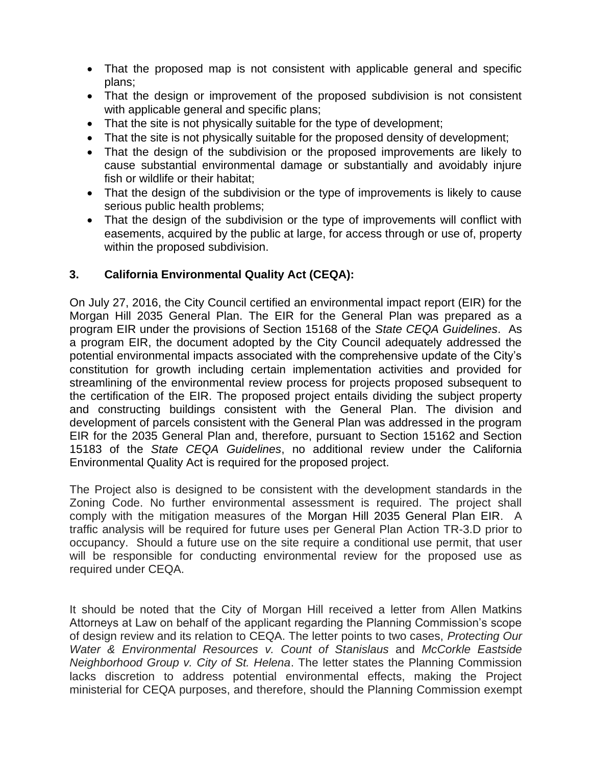- That the proposed map is not consistent with applicable general and specific plans;
- That the design or improvement of the proposed subdivision is not consistent with applicable general and specific plans;
- That the site is not physically suitable for the type of development;
- That the site is not physically suitable for the proposed density of development;
- That the design of the subdivision or the proposed improvements are likely to cause substantial environmental damage or substantially and avoidably injure fish or wildlife or their habitat;
- That the design of the subdivision or the type of improvements is likely to cause serious public health problems;
- That the design of the subdivision or the type of improvements will conflict with easements, acquired by the public at large, for access through or use of, property within the proposed subdivision.

## **3. California Environmental Quality Act (CEQA):**

On July 27, 2016, the City Council certified an environmental impact report (EIR) for the Morgan Hill 2035 General Plan. The EIR for the General Plan was prepared as a program EIR under the provisions of Section 15168 of the *State CEQA Guidelines*. As a program EIR, the document adopted by the City Council adequately addressed the potential environmental impacts associated with the comprehensive update of the City's constitution for growth including certain implementation activities and provided for streamlining of the environmental review process for projects proposed subsequent to the certification of the EIR. The proposed project entails dividing the subject property and constructing buildings consistent with the General Plan. The division and development of parcels consistent with the General Plan was addressed in the program EIR for the 2035 General Plan and, therefore, pursuant to Section 15162 and Section 15183 of the *State CEQA Guidelines*, no additional review under the California Environmental Quality Act is required for the proposed project.

The Project also is designed to be consistent with the development standards in the Zoning Code. No further environmental assessment is required. The project shall comply with the mitigation measures of the Morgan Hill 2035 General Plan EIR. A traffic analysis will be required for future uses per General Plan Action TR-3.D prior to occupancy. Should a future use on the site require a conditional use permit, that user will be responsible for conducting environmental review for the proposed use as required under CEQA.

It should be noted that the City of Morgan Hill received a letter from Allen Matkins Attorneys at Law on behalf of the applicant regarding the Planning Commission's scope of design review and its relation to CEQA. The letter points to two cases, *Protecting Our Water & Environmental Resources v. Count of Stanislaus* and *McCorkle Eastside Neighborhood Group v. City of St. Helena*. The letter states the Planning Commission lacks discretion to address potential environmental effects, making the Project ministerial for CEQA purposes, and therefore, should the Planning Commission exempt